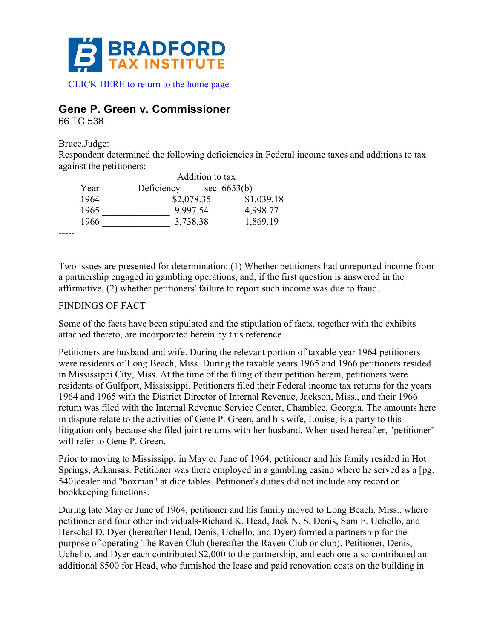

# **Gene P. Green v. Commissioner**

66 TC 538

Bruce,Judge:

Respondent determined the following deficiencies in Federal income taxes and additions to tax against the petitioners:

|      |            | Addition to tax |  |
|------|------------|-----------------|--|
| Year | Deficiency | sec. $6653(b)$  |  |
| 1964 | \$2,078.35 | \$1,039.18      |  |
| 1965 | 9,997.54   | 4,998.77        |  |
| 1966 | 3,738.38   | 1,869.19        |  |

-----

Two issues are presented for determination: (1) Whether petitioners had unreported income from a partnership engaged in gambling operations, and, if the first question is answered in the affirmative, (2) whether petitioners' failure to report such income was due to fraud.

## FINDINGS OF FACT

Some of the facts have been stipulated and the stipulation of facts, together with the exhibits attached thereto, are incorporated herein by this reference.

Petitioners are husband and wife. During the relevant portion of taxable year 1964 petitioners were residents of Long Beach, Miss. During the taxable years 1965 and 1966 petitioners resided in Mississippi City, Miss. At the time of the filing of their petition herein, petitioners were residents of Gulfport, Mississippi. Petitioners filed their Federal income tax returns for the years 1964 and 1965 with the District Director of Internal Revenue, Jackson, Miss., and their 1966 return was filed with the Internal Revenue Service Center, Chamblee, Georgia. The amounts here in dispute relate to the activities of Gene P. Green, and his wife, Louise, is a party to this litigation only because she filed joint returns with her husband. When used hereafter, "petitioner" will refer to Gene P. Green.

Prior to moving to Mississippi in May or June of 1964, petitioner and his family resided in Hot Springs, Arkansas. Petitioner was there employed in a gambling casino where he served as a [pg. 540]dealer and "boxman" at dice tables. Petitioner's duties did not include any record or bookkeeping functions.

During late May or June of 1964, petitioner and his family moved to Long Beach, Miss., where petitioner and four other individuals-Richard K. Head, Jack N. S. Denis, Sam F. Uchello, and Herschal D. Dyer (hereafter Head, Denis, Uchello, and Dyer) formed a partnership for the purpose of operating The Raven Club (hereafter the Raven Club or club). Petitioner, Denis, Uchello, and Dyer each contributed \$2,000 to the partnership, and each one also contributed an additional \$500 for Head, who furnished the lease and paid renovation costs on the building in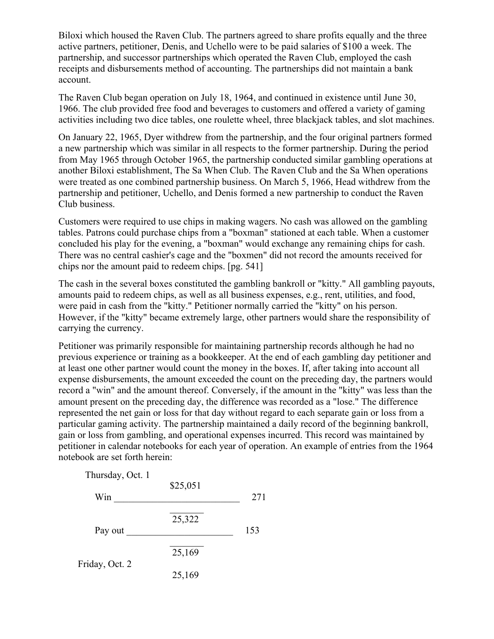Biloxi which housed the Raven Club. The partners agreed to share profits equally and the three active partners, petitioner, Denis, and Uchello were to be paid salaries of \$100 a week. The partnership, and successor partnerships which operated the Raven Club, employed the cash receipts and disbursements method of accounting. The partnerships did not maintain a bank account.

The Raven Club began operation on July 18, 1964, and continued in existence until June 30, 1966. The club provided free food and beverages to customers and offered a variety of gaming activities including two dice tables, one roulette wheel, three blackjack tables, and slot machines.

On January 22, 1965, Dyer withdrew from the partnership, and the four original partners formed a new partnership which was similar in all respects to the former partnership. During the period from May 1965 through October 1965, the partnership conducted similar gambling operations at another Biloxi establishment, The Sa When Club. The Raven Club and the Sa When operations were treated as one combined partnership business. On March 5, 1966, Head withdrew from the partnership and petitioner, Uchello, and Denis formed a new partnership to conduct the Raven Club business.

Customers were required to use chips in making wagers. No cash was allowed on the gambling tables. Patrons could purchase chips from a "boxman" stationed at each table. When a customer concluded his play for the evening, a "boxman" would exchange any remaining chips for cash. There was no central cashier's cage and the "boxmen" did not record the amounts received for chips nor the amount paid to redeem chips. [pg. 541]

The cash in the several boxes constituted the gambling bankroll or "kitty." All gambling payouts, amounts paid to redeem chips, as well as all business expenses, e.g., rent, utilities, and food, were paid in cash from the "kitty." Petitioner normally carried the "kitty" on his person. However, if the "kitty" became extremely large, other partners would share the responsibility of carrying the currency.

Petitioner was primarily responsible for maintaining partnership records although he had no previous experience or training as a bookkeeper. At the end of each gambling day petitioner and at least one other partner would count the money in the boxes. If, after taking into account all expense disbursements, the amount exceeded the count on the preceding day, the partners would record a "win" and the amount thereof. Conversely, if the amount in the "kitty" was less than the amount present on the preceding day, the difference was recorded as a "lose." The difference represented the net gain or loss for that day without regard to each separate gain or loss from a particular gaming activity. The partnership maintained a daily record of the beginning bankroll, gain or loss from gambling, and operational expenses incurred. This record was maintained by petitioner in calendar notebooks for each year of operation. An example of entries from the 1964 notebook are set forth herein:

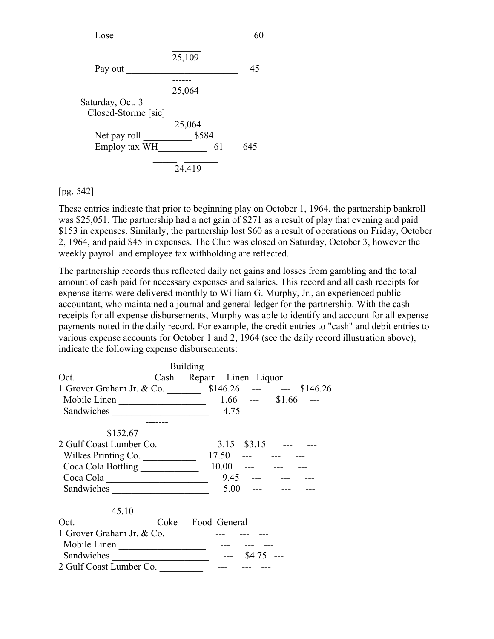

#### [pg. 542]

These entries indicate that prior to beginning play on October 1, 1964, the partnership bankroll was \$25,051. The partnership had a net gain of \$271 as a result of play that evening and paid \$153 in expenses. Similarly, the partnership lost \$60 as a result of operations on Friday, October 2, 1964, and paid \$45 in expenses. The Club was closed on Saturday, October 3, however the weekly payroll and employee tax withholding are reflected.

The partnership records thus reflected daily net gains and losses from gambling and the total amount of cash paid for necessary expenses and salaries. This record and all cash receipts for expense items were delivered monthly to William G. Murphy, Jr., an experienced public accountant, who maintained a journal and general ledger for the partnership. With the cash receipts for all expense disbursements, Murphy was able to identify and account for all expense payments noted in the daily record. For example, the credit entries to "cash" and debit entries to various expense accounts for October 1 and 2, 1964 (see the daily record illustration above), indicate the following expense disbursements:

|                                                   |  | <b>Building</b>   |                    |  |
|---------------------------------------------------|--|-------------------|--------------------|--|
| Cash Repair Linen Liquor<br>Oct.                  |  |                   |                    |  |
| 1 Grover Graham Jr. & Co. 5146.26 --- -- \$146.26 |  |                   |                    |  |
| Mobile Linen 1.66 --- \$1.66 ---                  |  |                   |                    |  |
|                                                   |  |                   | $4.75$ --- --- --- |  |
|                                                   |  |                   |                    |  |
| \$152.67                                          |  |                   |                    |  |
|                                                   |  |                   |                    |  |
| Wilkes Printing Co. 17.50 --- --- ---             |  |                   |                    |  |
|                                                   |  |                   |                    |  |
|                                                   |  |                   | $9.45$ --- --- --- |  |
| Sandwiches                                        |  |                   | $5.00$ --- --- --- |  |
|                                                   |  |                   |                    |  |
| 45.10                                             |  |                   |                    |  |
| Oct.                                              |  | Coke Food General |                    |  |
|                                                   |  |                   |                    |  |
|                                                   |  |                   |                    |  |
|                                                   |  |                   |                    |  |
| 2 Gulf Coast Lumber Co.                           |  |                   |                    |  |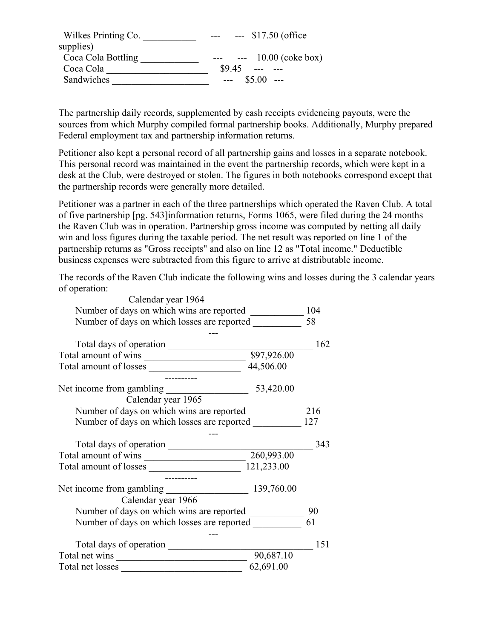| Wilkes Printing Co. | $-517.50$ (office      |
|---------------------|------------------------|
| supplies)           |                        |
| Coca Cola Bottling  | $- - 10.00$ (coke box) |
| Coca Cola           | \$9.45                 |
| Sandwiches          | $$5.00$ ---<br>$---$   |

The partnership daily records, supplemented by cash receipts evidencing payouts, were the sources from which Murphy compiled formal partnership books. Additionally, Murphy prepared Federal employment tax and partnership information returns.

Petitioner also kept a personal record of all partnership gains and losses in a separate notebook. This personal record was maintained in the event the partnership records, which were kept in a desk at the Club, were destroyed or stolen. The figures in both notebooks correspond except that the partnership records were generally more detailed.

Petitioner was a partner in each of the three partnerships which operated the Raven Club. A total of five partnership [pg. 543]information returns, Forms 1065, were filed during the 24 months the Raven Club was in operation. Partnership gross income was computed by netting all daily win and loss figures during the taxable period. The net result was reported on line 1 of the partnership returns as "Gross receipts" and also on line 12 as "Total income." Deductible business expenses were subtracted from this figure to arrive at distributable income.

The records of the Raven Club indicate the following wins and losses during the 3 calendar years of operation:

| Calendar year 1964                              |            |     |
|-------------------------------------------------|------------|-----|
|                                                 |            |     |
| Number of days on which losses are reported     |            | 58  |
|                                                 |            |     |
| Total days of operation                         |            | 162 |
|                                                 |            |     |
|                                                 |            |     |
|                                                 |            |     |
|                                                 | 53,420.00  |     |
| Calendar year 1965                              |            |     |
|                                                 |            | 216 |
| Number of days on which losses are reported 127 |            |     |
|                                                 |            |     |
| Total days of operation                         |            | 343 |
| Total amount of wins 260,993.00                 |            |     |
|                                                 |            |     |
|                                                 |            |     |
| Net income from gambling                        | 139,760.00 |     |
| Calendar year 1966                              |            |     |
| Number of days on which wins are reported       |            | 90  |
| Number of days on which losses are reported     |            | 61  |
|                                                 |            |     |
|                                                 |            | 151 |
|                                                 | 90,687.10  |     |
| Total net losses                                | 62,691.00  |     |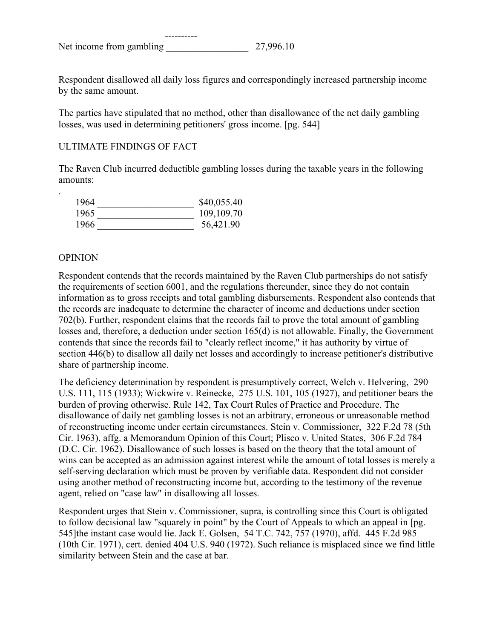Respondent disallowed all daily loss figures and correspondingly increased partnership income by the same amount.

The parties have stipulated that no method, other than disallowance of the net daily gambling losses, was used in determining petitioners' gross income. [pg. 544]

## ULTIMATE FINDINGS OF FACT

The Raven Club incurred deductible gambling losses during the taxable years in the following amounts:

| 1964 | \$40,055.40  |
|------|--------------|
| 1965 | 109, 109. 70 |
| 1966 | 56,421.90    |

### **OPINION**

.

Respondent contends that the records maintained by the Raven Club partnerships do not satisfy the requirements of section 6001, and the regulations thereunder, since they do not contain information as to gross receipts and total gambling disbursements. Respondent also contends that the records are inadequate to determine the character of income and deductions under section 702(b). Further, respondent claims that the records fail to prove the total amount of gambling losses and, therefore, a deduction under section 165(d) is not allowable. Finally, the Government contends that since the records fail to "clearly reflect income," it has authority by virtue of section 446(b) to disallow all daily net losses and accordingly to increase petitioner's distributive share of partnership income.

The deficiency determination by respondent is presumptively correct, Welch v. Helvering, 290 U.S. 111, 115 (1933); Wickwire v. Reinecke, 275 U.S. 101, 105 (1927), and petitioner bears the burden of proving otherwise. Rule 142, Tax Court Rules of Practice and Procedure. The disallowance of daily net gambling losses is not an arbitrary, erroneous or unreasonable method of reconstructing income under certain circumstances. Stein v. Commissioner, 322 F.2d 78 (5th Cir. 1963), affg. a Memorandum Opinion of this Court; Plisco v. United States, 306 F.2d 784 (D.C. Cir. 1962). Disallowance of such losses is based on the theory that the total amount of wins can be accepted as an admission against interest while the amount of total losses is merely a self-serving declaration which must be proven by verifiable data. Respondent did not consider using another method of reconstructing income but, according to the testimony of the revenue agent, relied on "case law" in disallowing all losses.

Respondent urges that Stein v. Commissioner, supra, is controlling since this Court is obligated to follow decisional law "squarely in point" by the Court of Appeals to which an appeal in [pg. 545]the instant case would lie. Jack E. Golsen, 54 T.C. 742, 757 (1970), affd. 445 F.2d 985 (10th Cir. 1971), cert. denied 404 U.S. 940 (1972). Such reliance is misplaced since we find little similarity between Stein and the case at bar.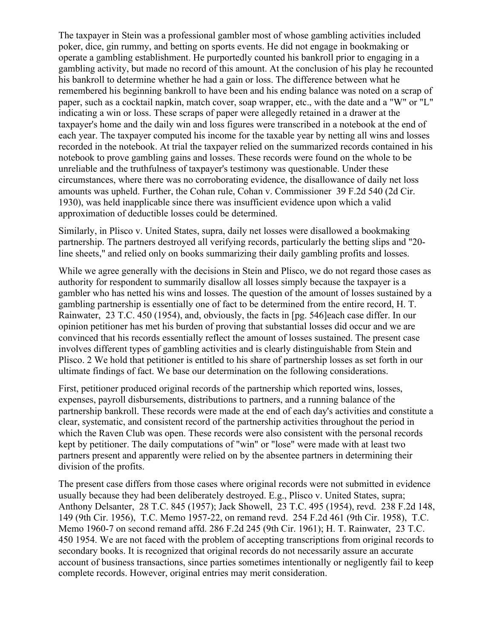The taxpayer in Stein was a professional gambler most of whose gambling activities included poker, dice, gin rummy, and betting on sports events. He did not engage in bookmaking or operate a gambling establishment. He purportedly counted his bankroll prior to engaging in a gambling activity, but made no record of this amount. At the conclusion of his play he recounted his bankroll to determine whether he had a gain or loss. The difference between what he remembered his beginning bankroll to have been and his ending balance was noted on a scrap of paper, such as a cocktail napkin, match cover, soap wrapper, etc., with the date and a "W" or "L" indicating a win or loss. These scraps of paper were allegedly retained in a drawer at the taxpayer's home and the daily win and loss figures were transcribed in a notebook at the end of each year. The taxpayer computed his income for the taxable year by netting all wins and losses recorded in the notebook. At trial the taxpayer relied on the summarized records contained in his notebook to prove gambling gains and losses. These records were found on the whole to be unreliable and the truthfulness of taxpayer's testimony was questionable. Under these circumstances, where there was no corroborating evidence, the disallowance of daily net loss amounts was upheld. Further, the Cohan rule, Cohan v. Commissioner 39 F.2d 540 (2d Cir. 1930), was held inapplicable since there was insufficient evidence upon which a valid approximation of deductible losses could be determined.

Similarly, in Plisco v. United States, supra, daily net losses were disallowed a bookmaking partnership. The partners destroyed all verifying records, particularly the betting slips and "20 line sheets," and relied only on books summarizing their daily gambling profits and losses.

While we agree generally with the decisions in Stein and Plisco, we do not regard those cases as authority for respondent to summarily disallow all losses simply because the taxpayer is a gambler who has netted his wins and losses. The question of the amount of losses sustained by a gambling partnership is essentially one of fact to be determined from the entire record, H. T. Rainwater, 23 T.C. 450 (1954), and, obviously, the facts in [pg. 546]each case differ. In our opinion petitioner has met his burden of proving that substantial losses did occur and we are convinced that his records essentially reflect the amount of losses sustained. The present case involves different types of gambling activities and is clearly distinguishable from Stein and Plisco. 2 We hold that petitioner is entitled to his share of partnership losses as set forth in our ultimate findings of fact. We base our determination on the following considerations.

First, petitioner produced original records of the partnership which reported wins, losses, expenses, payroll disbursements, distributions to partners, and a running balance of the partnership bankroll. These records were made at the end of each day's activities and constitute a clear, systematic, and consistent record of the partnership activities throughout the period in which the Raven Club was open. These records were also consistent with the personal records kept by petitioner. The daily computations of "win" or "lose" were made with at least two partners present and apparently were relied on by the absentee partners in determining their division of the profits.

The present case differs from those cases where original records were not submitted in evidence usually because they had been deliberately destroyed. E.g., Plisco v. United States, supra; Anthony Delsanter, 28 T.C. 845 (1957); Jack Showell, 23 T.C. 495 (1954), revd. 238 F.2d 148, 149 (9th Cir. 1956), T.C. Memo 1957-22, on remand revd. 254 F.2d 461 (9th Cir. 1958), T.C. Memo 1960-7 on second remand affd. 286 F.2d 245 (9th Cir. 1961); H. T. Rainwater, 23 T.C. 450 1954. We are not faced with the problem of accepting transcriptions from original records to secondary books. It is recognized that original records do not necessarily assure an accurate account of business transactions, since parties sometimes intentionally or negligently fail to keep complete records. However, original entries may merit consideration.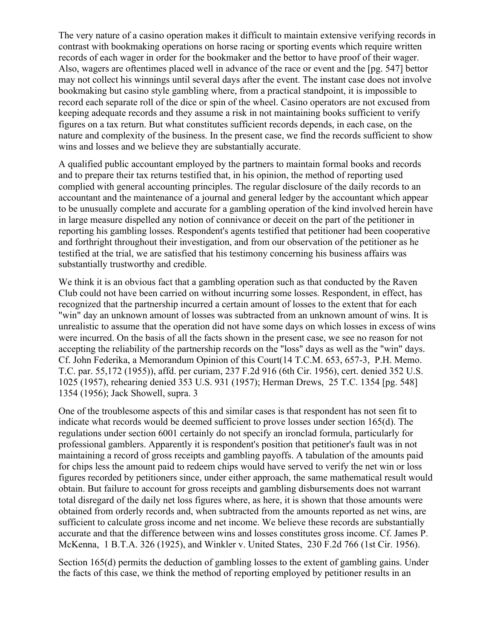The very nature of a casino operation makes it difficult to maintain extensive verifying records in contrast with bookmaking operations on horse racing or sporting events which require written records of each wager in order for the bookmaker and the bettor to have proof of their wager. Also, wagers are oftentimes placed well in advance of the race or event and the [pg. 547] bettor may not collect his winnings until several days after the event. The instant case does not involve bookmaking but casino style gambling where, from a practical standpoint, it is impossible to record each separate roll of the dice or spin of the wheel. Casino operators are not excused from keeping adequate records and they assume a risk in not maintaining books sufficient to verify figures on a tax return. But what constitutes sufficient records depends, in each case, on the nature and complexity of the business. In the present case, we find the records sufficient to show wins and losses and we believe they are substantially accurate.

A qualified public accountant employed by the partners to maintain formal books and records and to prepare their tax returns testified that, in his opinion, the method of reporting used complied with general accounting principles. The regular disclosure of the daily records to an accountant and the maintenance of a journal and general ledger by the accountant which appear to be unusually complete and accurate for a gambling operation of the kind involved herein have in large measure dispelled any notion of connivance or deceit on the part of the petitioner in reporting his gambling losses. Respondent's agents testified that petitioner had been cooperative and forthright throughout their investigation, and from our observation of the petitioner as he testified at the trial, we are satisfied that his testimony concerning his business affairs was substantially trustworthy and credible.

We think it is an obvious fact that a gambling operation such as that conducted by the Raven Club could not have been carried on without incurring some losses. Respondent, in effect, has recognized that the partnership incurred a certain amount of losses to the extent that for each "win" day an unknown amount of losses was subtracted from an unknown amount of wins. It is unrealistic to assume that the operation did not have some days on which losses in excess of wins were incurred. On the basis of all the facts shown in the present case, we see no reason for not accepting the reliability of the partnership records on the "loss" days as well as the "win" days. Cf. John Federika, a Memorandum Opinion of this Court(14 T.C.M. 653, 657-3, P.H. Memo. T.C. par. 55,172 (1955)), affd. per curiam, 237 F.2d 916 (6th Cir. 1956), cert. denied 352 U.S. 1025 (1957), rehearing denied 353 U.S. 931 (1957); Herman Drews, 25 T.C. 1354 [pg. 548] 1354 (1956); Jack Showell, supra. 3

One of the troublesome aspects of this and similar cases is that respondent has not seen fit to indicate what records would be deemed sufficient to prove losses under section 165(d). The regulations under section 6001 certainly do not specify an ironclad formula, particularly for professional gamblers. Apparently it is respondent's position that petitioner's fault was in not maintaining a record of gross receipts and gambling payoffs. A tabulation of the amounts paid for chips less the amount paid to redeem chips would have served to verify the net win or loss figures recorded by petitioners since, under either approach, the same mathematical result would obtain. But failure to account for gross receipts and gambling disbursements does not warrant total disregard of the daily net loss figures where, as here, it is shown that those amounts were obtained from orderly records and, when subtracted from the amounts reported as net wins, are sufficient to calculate gross income and net income. We believe these records are substantially accurate and that the difference between wins and losses constitutes gross income. Cf. James P. McKenna, 1 B.T.A. 326 (1925), and Winkler v. United States, 230 F.2d 766 (1st Cir. 1956).

Section 165(d) permits the deduction of gambling losses to the extent of gambling gains. Under the facts of this case, we think the method of reporting employed by petitioner results in an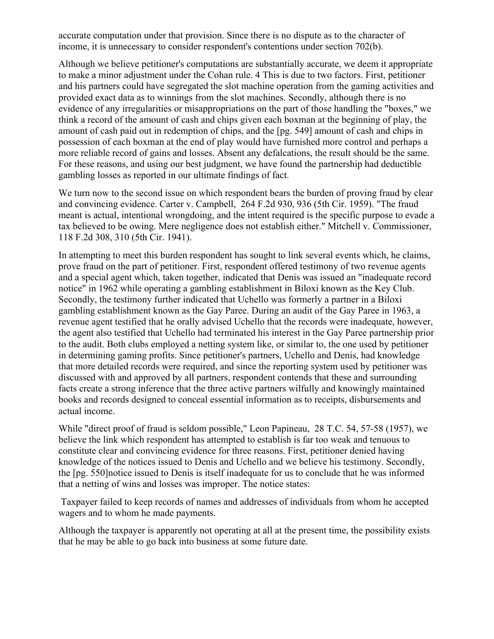accurate computation under that provision. Since there is no dispute as to the character of income, it is unnecessary to consider respondent's contentions under section 702(b).

Although we believe petitioner's computations are substantially accurate, we deem it appropriate to make a minor adjustment under the Cohan rule. 4 This is due to two factors. First, petitioner and his partners could have segregated the slot machine operation from the gaming activities and provided exact data as to winnings from the slot machines. Secondly, although there is no evidence of any irregularities or misappropriations on the part of those handling the "boxes," we think a record of the amount of cash and chips given each boxman at the beginning of play, the amount of cash paid out in redemption of chips, and the [pg. 549] amount of cash and chips in possession of each boxman at the end of play would have furnished more control and perhaps a more reliable record of gains and losses. Absent any defalcations, the result should be the same. For these reasons, and using our best judgment, we have found the partnership had deductible gambling losses as reported in our ultimate findings of fact.

We turn now to the second issue on which respondent bears the burden of proving fraud by clear and convincing evidence. Carter v. Campbell, 264 F.2d 930, 936 (5th Cir. 1959). "The fraud meant is actual, intentional wrongdoing, and the intent required is the specific purpose to evade a tax believed to be owing. Mere negligence does not establish either." Mitchell v. Commissioner, 118 F.2d 308, 310 (5th Cir. 1941).

In attempting to meet this burden respondent has sought to link several events which, he claims, prove fraud on the part of petitioner. First, respondent offered testimony of two revenue agents and a special agent which, taken together, indicated that Denis was issued an "inadequate record notice" in 1962 while operating a gambling establishment in Biloxi known as the Key Club. Secondly, the testimony further indicated that Uchello was formerly a partner in a Biloxi gambling establishment known as the Gay Paree. During an audit of the Gay Paree in 1963, a revenue agent testified that he orally advised Uchello that the records were inadequate, however, the agent also testified that Uchello had terminated his interest in the Gay Paree partnership prior to the audit. Both clubs employed a netting system like, or similar to, the one used by petitioner in determining gaming profits. Since petitioner's partners, Uchello and Denis, had knowledge that more detailed records were required, and since the reporting system used by petitioner was discussed with and approved by all partners, respondent contends that these and surrounding facts create a strong inference that the three active partners wilfully and knowingly maintained books and records designed to conceal essential information as to receipts, disbursements and actual income.

While "direct proof of fraud is seldom possible," Leon Papineau, 28 T.C. 54, 57-58 (1957), we believe the link which respondent has attempted to establish is far too weak and tenuous to constitute clear and convincing evidence for three reasons. First, petitioner denied having knowledge of the notices issued to Denis and Uchello and we believe his testimony. Secondly, the [pg. 550]notice issued to Denis is itself inadequate for us to conclude that he was informed that a netting of wins and losses was improper. The notice states:

Taxpayer failed to keep records of names and addresses of individuals from whom he accepted wagers and to whom he made payments.

Although the taxpayer is apparently not operating at all at the present time, the possibility exists that he may be able to go back into business at some future date.